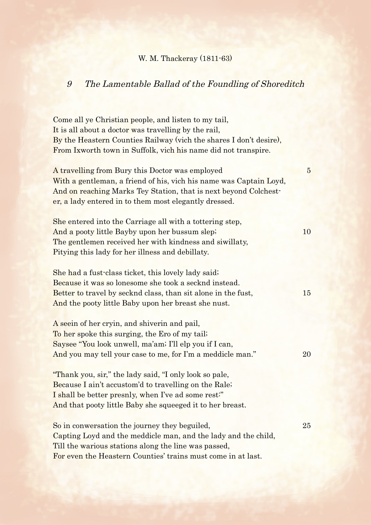## W. M. Thackeray (1811-63)

## 9 The Lamentable Ballad of the Foundling of Shoreditch

Come all ye Christian people, and listen to my tail, It is all about a doctor was travelling by the rail, By the Heastern Counties Railway (vich the shares I don't desire), From Ixworth town in Suffolk, vich his name did not transpire. A travelling from Bury this Doctor was employed 5 With a gentleman, a friend of his, vich his name was Captain Loyd, And on reaching Marks Tey Station, that is next beyond Colchester, a lady entered in to them most elegantly dressed. She entered into the Carriage all with a tottering step, And a pooty little Bayby upon her bussum slep; 10 The gentlemen received her with kindness and siwillaty, Pitying this lady for her illness and debillaty. She had a fust-class ticket, this lovely lady said; Because it was so lonesome she took a secknd instead. Better to travel by secknd class, than sit alone in the fust, 15 And the pooty little Baby upon her breast she nust. A seein of her cryin, and shiverin and pail, To her spoke this surging, the Ero of my tail; Saysee "You look unwell, ma'am; I'll elp you if I can, And you may tell your case to me, for I'm a meddicle man." 20 "Thank you, sir," the lady said, "I only look so pale,

Because I ain't accustom'd to travelling on the Rale; I shall be better presnly, when I've ad some rest:" And that pooty little Baby she squeeged it to her breast.

So in conwersation the journey they beguiled, 25 Capting Loyd and the meddicle man, and the lady and the child, Till the warious stations along the line was passed, For even the Heastern Counties' trains must come in at last.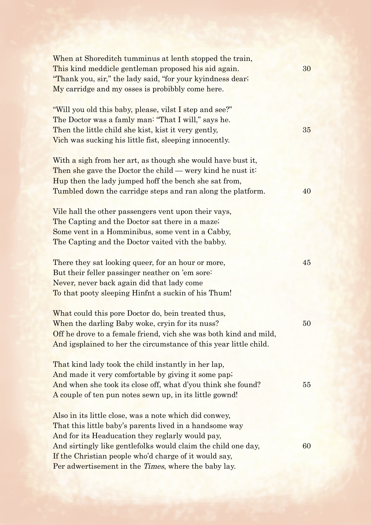| When at Shoreditch tumminus at lenth stopped the train,<br>This kind meddicle gentleman proposed his aid again.<br>"Thank you, sir," the lady said, "for your kyindness dear,"<br>My carridge and my osses is probibbly come here.                                                                                                                             | 30 |
|----------------------------------------------------------------------------------------------------------------------------------------------------------------------------------------------------------------------------------------------------------------------------------------------------------------------------------------------------------------|----|
| "Will you old this baby, please, vilst I step and see?"<br>The Doctor was a famly man: "That I will," says he.<br>Then the little child she kist, kist it very gently,<br>Vich was sucking his little fist, sleeping innocently.                                                                                                                               | 35 |
| With a sigh from her art, as though she would have bust it,<br>Then she gave the Doctor the child — wery kind he nust it.<br>Hup then the lady jumped hoff the bench she sat from,<br>Tumbled down the carridge steps and ran along the platform.                                                                                                              | 40 |
| Vile hall the other passengers vent upon their vays,<br>The Capting and the Doctor sat there in a maze;<br>Some vent in a Homminibus, some vent in a Cabby,<br>The Capting and the Doctor vaited vith the babby.                                                                                                                                               |    |
| There they sat looking queer, for an hour or more,<br>But their feller passinger neather on 'em sore:<br>Never, never back again did that lady come<br>To that pooty sleeping Hinfnt a suckin of his Thum!                                                                                                                                                     | 45 |
| What could this pore Doctor do, bein treated thus,<br>When the darling Baby woke, cryin for its nuss?<br>Off he drove to a female friend, vich she was both kind and mild,<br>And igsplained to her the circumstance of this year little child.                                                                                                                | 50 |
| That kind lady took the child instantly in her lap,<br>And made it very comfortable by giving it some pap.<br>And when she took its close off, what d'you think she found?<br>A couple of ten pun notes sewn up, in its little gownd!                                                                                                                          | 55 |
| Also in its little close, was a note which did conwey,<br>That this little baby's parents lived in a handsome way<br>And for its Headucation they reglarly would pay,<br>And sirtingly like gentlefolks would claim the child one day,<br>If the Christian people who'd charge of it would say,<br>Per adwertisement in the <i>Times</i> , where the baby lay. | 60 |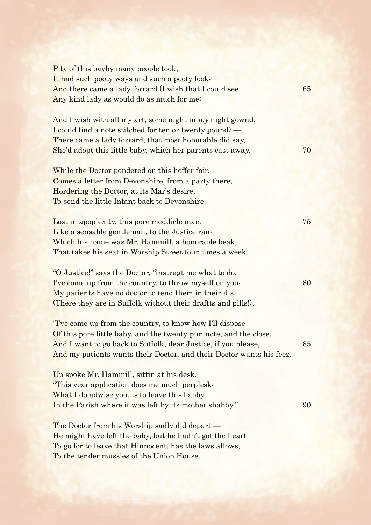Pity of this bayby many people took, It had such pooty ways and such a pooty look; And there came a lady forrard (I wish that I could see 65 Any kind lady as would do as much for me; And I wish with all my art, some night in my night gownd, I could find a note stitched for ten or twenty pound) — There came a lady forrard, that most honorable did say, She'd adopt this little baby, which her parents cast away. 70 While the Doctor pondered on this hoffer fair, Comes a letter from Devonshire, from a party there, Hordering the Doctor, at its Mar's desire, To send the little Infant back to Devonshire. Lost in apoplexity, this pore meddicle man, 75 Like a sensable gentleman, to the Justice ran; Which his name was Mr. Hammill, a honorable beak, That takes his seat in Worship Street four times a week. "O Justice!" says the Doctor, "instrugt me what to do. I've come up from the country, to throw myself on you; 80 My patients have no doctor to tend them in their ills (There they are in Suffolk without their draffts and pills!). "I've come up from the country, to know how I'll dispose Of this pore little baby, and the twenty pun note, and the close, And I want to go back to Suffolk, dear Justice, if you please, 85 And my patients wants their Doctor, and their Doctor wants his feez. Up spoke Mr. Hammill, sittin at his desk, "This year application does me much perplesk; What I do adwise you, is to leave this babby In the Parish where it was left by its mother shabby." 90 The Doctor from his Worship sadly did depart — He might have left the baby, but he hadn't got the heart To go for to leave that Hinnocent, has the laws allows, To the tender mussies of the Union House.